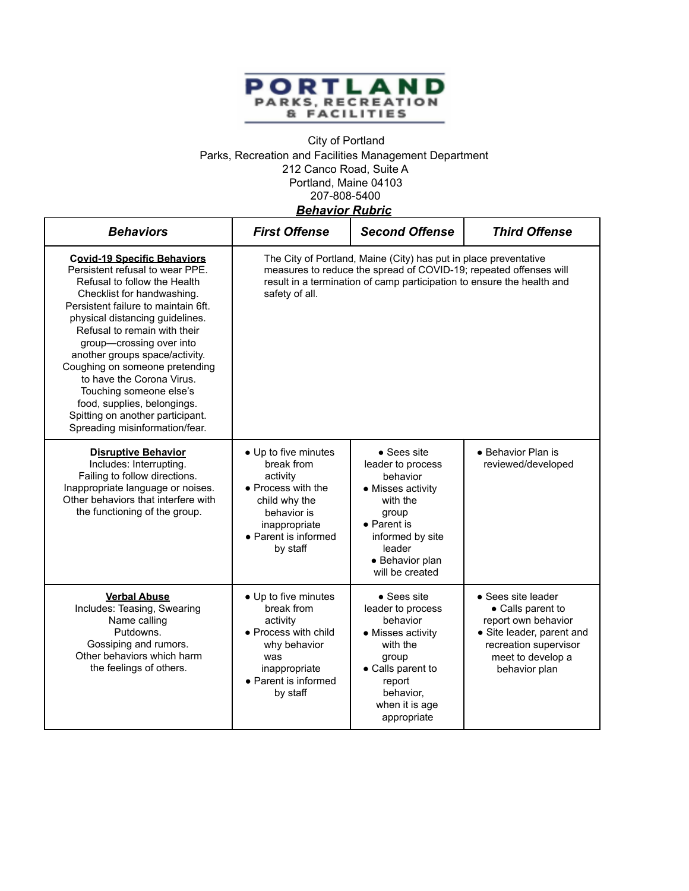

## City of Portland Parks, Recreation and Facilities Management Department 212 Canco Road, Suite A Portland, Maine 04103 207-808-5400 *Behavior Rubric*

| <b>Behaviors</b>                                                                                                                                                                                                                                                                                                                                                                                                                                                                                           | <b>First Offense</b>                                                                                                                                                                                                              | <b>Second Offense</b>                                                                                                                                                             | <b>Third Offense</b>                                                                                                                                       |
|------------------------------------------------------------------------------------------------------------------------------------------------------------------------------------------------------------------------------------------------------------------------------------------------------------------------------------------------------------------------------------------------------------------------------------------------------------------------------------------------------------|-----------------------------------------------------------------------------------------------------------------------------------------------------------------------------------------------------------------------------------|-----------------------------------------------------------------------------------------------------------------------------------------------------------------------------------|------------------------------------------------------------------------------------------------------------------------------------------------------------|
| <b>Covid-19 Specific Behaviors</b><br>Persistent refusal to wear PPE.<br>Refusal to follow the Health<br>Checklist for handwashing.<br>Persistent failure to maintain 6ft.<br>physical distancing guidelines.<br>Refusal to remain with their<br>group-crossing over into<br>another groups space/activity.<br>Coughing on someone pretending<br>to have the Corona Virus.<br>Touching someone else's<br>food, supplies, belongings.<br>Spitting on another participant.<br>Spreading misinformation/fear. | The City of Portland, Maine (City) has put in place preventative<br>measures to reduce the spread of COVID-19; repeated offenses will<br>result in a termination of camp participation to ensure the health and<br>safety of all. |                                                                                                                                                                                   |                                                                                                                                                            |
| <b>Disruptive Behavior</b><br>Includes: Interrupting.<br>Failing to follow directions.<br>Inappropriate language or noises.<br>Other behaviors that interfere with<br>the functioning of the group.                                                                                                                                                                                                                                                                                                        | • Up to five minutes<br>break from<br>activity<br>• Process with the<br>child why the<br>behavior is<br>inappropriate<br>• Parent is informed<br>by staff                                                                         | $\bullet$ Sees site<br>leader to process<br>behavior<br>• Misses activity<br>with the<br>group<br>• Parent is<br>informed by site<br>leader<br>• Behavior plan<br>will be created | • Behavior Plan is<br>reviewed/developed                                                                                                                   |
| <b>Verbal Abuse</b><br>Includes: Teasing, Swearing<br>Name calling<br>Putdowns.<br>Gossiping and rumors.<br>Other behaviors which harm<br>the feelings of others.                                                                                                                                                                                                                                                                                                                                          | • Up to five minutes<br>break from<br>activity<br>• Process with child<br>why behavior<br>was<br>inappropriate<br>• Parent is informed<br>by staff                                                                                | $\bullet$ Sees site<br>leader to process<br>behavior<br>• Misses activity<br>with the<br>group<br>• Calls parent to<br>report<br>behavior,<br>when it is age<br>appropriate       | • Sees site leader<br>• Calls parent to<br>report own behavior<br>• Site leader, parent and<br>recreation supervisor<br>meet to develop a<br>behavior plan |